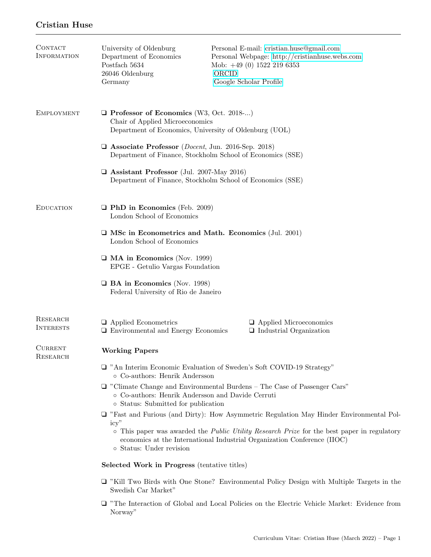# Cristian Huse

| CONTACT<br><b>INFORMATION</b> | University of Oldenburg<br>Department of Economics<br>Postfach 5634<br>26046 Oldenburg<br>Germany                                                                                                                                                                                                                          | Personal E-mail: cristian.huse@gmail.com<br>Personal Webpage: http://cristianhuse.webs.com<br>Mob: $+49(0)$ 1522 219 6353<br>ORCID<br>Google Scholar Profile |  |
|-------------------------------|----------------------------------------------------------------------------------------------------------------------------------------------------------------------------------------------------------------------------------------------------------------------------------------------------------------------------|--------------------------------------------------------------------------------------------------------------------------------------------------------------|--|
| <b>EMPLOYMENT</b>             | $\Box$ Professor of Economics (W3, Oct. 2018-)<br>Chair of Applied Microeconomics<br>Department of Economics, University of Oldenburg (UOL)                                                                                                                                                                                |                                                                                                                                                              |  |
|                               | $\Box$ Associate Professor ( <i>Docent</i> , Jun. 2016-Sep. 2018)<br>Department of Finance, Stockholm School of Economics (SSE)                                                                                                                                                                                            |                                                                                                                                                              |  |
|                               | $\Box$ Assistant Professor (Jul. 2007-May 2016)<br>Department of Finance, Stockholm School of Economics (SSE)                                                                                                                                                                                                              |                                                                                                                                                              |  |
| <b>EDUCATION</b>              | $\Box$ PhD in Economics (Feb. 2009)<br>London School of Economics                                                                                                                                                                                                                                                          |                                                                                                                                                              |  |
|                               | $\Box$ MSc in Econometrics and Math. Economics (Jul. 2001)<br>London School of Economics                                                                                                                                                                                                                                   |                                                                                                                                                              |  |
|                               | $\Box$ MA in Economics (Nov. 1999)<br>EPGE - Getulio Vargas Foundation                                                                                                                                                                                                                                                     |                                                                                                                                                              |  |
|                               | $\Box$ BA in Economics (Nov. 1998)<br>Federal University of Rio de Janeiro                                                                                                                                                                                                                                                 |                                                                                                                                                              |  |
| RESEARCH<br><b>INTERESTS</b>  | $\Box$ Applied Econometrics<br>$\Box$ Environmental and Energy Economics                                                                                                                                                                                                                                                   | $\Box$ Applied Microeconomics<br>$\Box$ Industrial Organization                                                                                              |  |
| <b>CURRENT</b><br>RESEARCH    | <b>Working Papers</b>                                                                                                                                                                                                                                                                                                      |                                                                                                                                                              |  |
|                               | □ "An Interim Economic Evaluation of Sweden's Soft COVID-19 Strategy"<br>○ Co-authors: Henrik Andersson                                                                                                                                                                                                                    |                                                                                                                                                              |  |
|                               | $\Box$ "Climate Change and Environmental Burdens – The Case of Passenger Cars"<br>o Co-authors: Henrik Andersson and Davide Cerruti<br>o Status: Submitted for publication                                                                                                                                                 |                                                                                                                                                              |  |
|                               | $\Box$ "Fast and Furious (and Dirty): How Asymmetric Regulation May Hinder Environmental Pol-<br>icy''<br>$\circ$ This paper was awarded the <i>Public Utility Research Prize</i> for the best paper in regulatory<br>economics at the International Industrial Organization Conference (IIOC)<br>o Status: Under revision |                                                                                                                                                              |  |
|                               | <b>Selected Work in Progress</b> (tentative titles)                                                                                                                                                                                                                                                                        |                                                                                                                                                              |  |
|                               | $\Box$ "Kill Two Birds with One Stone? Environmental Policy Design with Multiple Targets in the<br>Swedish Car Market"                                                                                                                                                                                                     |                                                                                                                                                              |  |
|                               | $\Box$ "The Interaction of Global and Local Policies on the Electric Vehicle Market: Evidence from                                                                                                                                                                                                                         |                                                                                                                                                              |  |

Norway"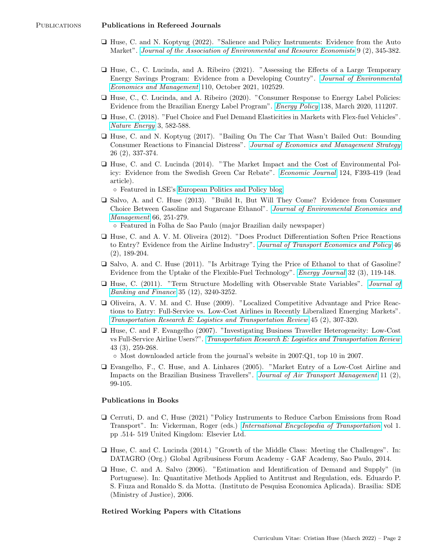- ❑ Huse, C. and N. Koptyug (2022). "Salience and Policy Instruments: Evidence from the Auto Market". [Journal of the Association of Environmental and Resource Economists](https://www.journals.uchicago.edu/doi/10.1086/716878) 9 (2), 345-382.
- ❑ Huse, C., C. Lucinda, and A. Ribeiro (2021). "Assessing the Effects of a Large Temporary Energy Savings Program: Evidence from a Developing Country". [Journal of Environmental](https://doi.org/10.1016/j.jeem.2021.102529) [Economics and Management](https://doi.org/10.1016/j.jeem.2021.102529) 110, October 2021, 102529.
- ❑ Huse, C., C. Lucinda, and A. Ribeiro (2020). "Consumer Response to Energy Label Policies: Evidence from the Brazilian Energy Label Program". [Energy Policy](https://doi.org/10.1016/j.enpol.2019.111207) 138, March 2020, 111207.
- ❑ Huse, C. (2018). "Fuel Choice and Fuel Demand Elasticities in Markets with Flex-fuel Vehicles". [Nature Energy](https://doi.org/10.1038/s41560-018-0175-3) 3, 582-588.
- ❑ Huse, C. and N. Koptyug (2017). "Bailing On The Car That Wasn't Bailed Out: Bounding Consumer Reactions to Financial Distress". [Journal of Economics and Management Strategy](http://onlinelibrary.wiley.com/journal/10.1111/(ISSN)1530-9134) 26 (2), 337-374.
- ❑ Huse, C. and C. Lucinda (2014). "The Market Impact and the Cost of Environmental Policy: Evidence from the Swedish Green Car Rebate". [Economic Journal](https://doi.org/10.1111/ecoj.12060) 124, F393-419 (lead article).

◦ Featured in LSE's [European Politics and Policy blog](http://bit.ly/11WLPQv)

❑ Salvo, A. and C. Huse (2013). "Build It, But Will They Come? Evidence from Consumer Choice Between Gasoline and Sugarcane Ethanol". [Journal of Environmental Economics and](http://www.sciencedirect.com/science/article/pii/S0095069613000223) [Management](http://www.sciencedirect.com/science/article/pii/S0095069613000223) 66, 251-279.

◦ Featured in Folha de Sao Paulo (major Brazilian daily newspaper)

- ❑ Huse, C. and A. V. M. Oliveira (2012). "Does Product Differentiation Soften Price Reactions to Entry? Evidence from the Airline Industry". [Journal of Transport Economics and Policy](http://www.ingentaconnect.com/content/lse/jtep/2012/00000046/00000002/art00003) 46 (2), 189-204.
- ❑ Salvo, A. and C. Huse (2011). "Is Arbitrage Tying the Price of Ethanol to that of Gasoline? Evidence from the Uptake of the Flexible-Fuel Technology". *[Energy Journal](http://www.iaee.org/en/publications/ejarticle.aspx?id=2429)* 32 (3), 119-148.
- ❑ Huse, C. (2011). "Term Structure Modelling with Observable State Variables". [Journal of](http://www.sciencedirect.com/science/article/pii/S0378426611001658) [Banking and Finance](http://www.sciencedirect.com/science/article/pii/S0378426611001658) 35 (12), 3240-3252.
- ❑ Oliveira, A. V. M. and C. Huse (2009). "Localized Competitive Advantage and Price Reactions to Entry: Full-Service vs. Low-Cost Airlines in Recently Liberalized Emerging Markets". [Transportation Research E: Logistics and Transportation Review](http://www.sciencedirect.com/science/article/pii/S1366554508001221) 45 (2), 307-320.
- ❑ Huse, C. and F. Evangelho (2007). "Investigating Business Traveller Heterogeneity: Low-Cost vs Full-Service Airline Users?". [Transportation Research E: Logistics and Transportation Review](http://www.sciencedirect.com/science/article/pii/S1366554506000810) 43 (3), 259-268.
	- Most downloaded article from the journal's website in 2007:Q1, top 10 in 2007.
- ❑ Evangelho, F., C. Huse, and A. Linhares (2005). "Market Entry of a Low-Cost Airline and Impacts on the Brazilian Business Travellers". [Journal of Air Transport Management](http://www.sciencedirect.com/science/article/pii/S0969699704000602) 11 (2), 99-105.

#### Publications in Books

- ❑ Cerruti, D. and C, Huse (2021) "Policy Instruments to Reduce Carbon Emissions from Road Transport". In: Vickerman, Roger (eds.) [International Encyclopedia of Transportation](http://dx.doi.org/10.1016/b978-0-08-102671-7.10094-6) vol 1. pp .514- 519 United Kingdom: Elsevier Ltd.
- ❑ Huse, C. and C. Lucinda (2014.) "Growth of the Middle Class: Meeting the Challenges". In: DATAGRO (Org.) Global Agribusiness Forum Academy - GAF Academy, Sao Paulo, 2014.
- ❑ Huse, C. and A. Salvo (2006). "Estimation and Identification of Demand and Supply" (in Portuguese). In: Quantitative Methods Applied to Antitrust and Regulation, eds. Eduardo P. S. Fiuza and Ronaldo S. da Motta. (Instituto de Pesquisa Economica Aplicada). Brasilia: SDE (Ministry of Justice), 2006.

#### Retired Working Papers with Citations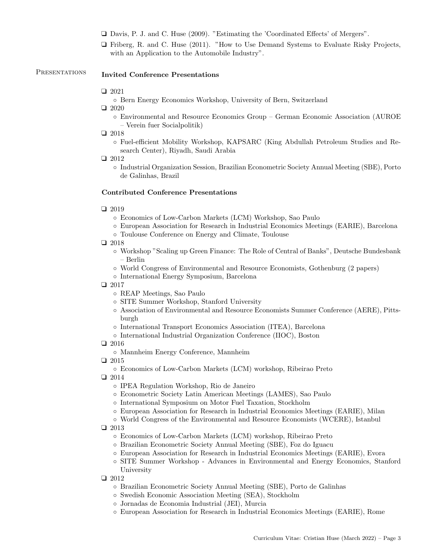- ❑ Davis, P. J. and C. Huse (2009). "Estimating the 'Coordinated Effects' of Mergers".
- ❑ Friberg, R. and C. Huse (2011). "How to Use Demand Systems to Evaluate Risky Projects, with an Application to the Automobile Industry".

# PRESENTATIONS Invited Conference Presentations

## ❑ 2021

- Bern Energy Economics Workshop, University of Bern, Switzerland
- ❑ 2020
	- Environmental and Resource Economics Group German Economic Association (AUROE – Verein fuer Socialpolitik)

#### ❑ 2018

◦ Fuel-efficient Mobility Workshop, KAPSARC (King Abdullah Petroleum Studies and Research Center), Riyadh, Saudi Arabia

❑ 2012

◦ Industrial Organization Session, Brazilian Econometric Society Annual Meeting (SBE), Porto de Galinhas, Brazil

## Contributed Conference Presentations

#### ❑ 2019

- Economics of Low-Carbon Markets (LCM) Workshop, Sao Paulo
- European Association for Research in Industrial Economics Meetings (EARIE), Barcelona
- Toulouse Conference on Energy and Climate, Toulouse
- ❑ 2018
	- Workshop "Scaling up Green Finance: The Role of Central of Banks", Deutsche Bundesbank – Berlin
	- World Congress of Environmental and Resource Economists, Gothenburg (2 papers)
	- International Energy Symposium, Barcelona

## ❑ 2017

- REAP Meetings, Sao Paulo
- SITE Summer Workshop, Stanford University
- Association of Environmental and Resource Economists Summer Conference (AERE), Pittsburgh
- International Transport Economics Association (ITEA), Barcelona
- International Industrial Organization Conference (IIOC), Boston

## ❑ 2016

- Mannheim Energy Conference, Mannheim
- ❑ 2015
	- Economics of Low-Carbon Markets (LCM) workshop, Ribeirao Preto
- ❑ 2014
	- IPEA Regulation Workshop, Rio de Janeiro
	- Econometric Society Latin American Meetings (LAMES), Sao Paulo
	- International Symposium on Motor Fuel Taxation, Stockholm
	- European Association for Research in Industrial Economics Meetings (EARIE), Milan
	- World Congress of the Environmental and Resource Economists (WCERE), Istanbul

#### ❑ 2013

- Economics of Low-Carbon Markets (LCM) workshop, Ribeirao Preto
- Brazilian Econometric Society Annual Meeting (SBE), Foz do Iguacu
- European Association for Research in Industrial Economics Meetings (EARIE), Evora
- SITE Summer Workshop Advances in Environmental and Energy Economics, Stanford University
- ❑ 2012
	- Brazilian Econometric Society Annual Meeting (SBE), Porto de Galinhas
	- Swedish Economic Association Meeting (SEA), Stockholm
	- Jornadas de Economia Industrial (JEI), Murcia
	- European Association for Research in Industrial Economics Meetings (EARIE), Rome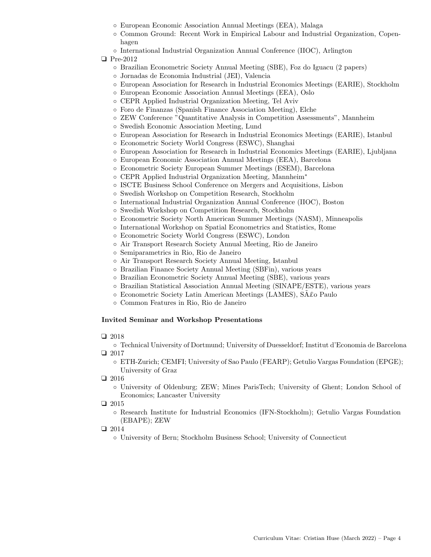- European Economic Association Annual Meetings (EEA), Malaga
- Common Ground: Recent Work in Empirical Labour and Industrial Organization, Copenhagen
- International Industrial Organization Annual Conference (IIOC), Arlington

## ❑ Pre-2012

- Brazilian Econometric Society Annual Meeting (SBE), Foz do Iguacu (2 papers)
- Jornadas de Economia Industrial (JEI), Valencia
- European Association for Research in Industrial Economics Meetings (EARIE), Stockholm
- European Economic Association Annual Meetings (EEA), Oslo
- CEPR Applied Industrial Organization Meeting, Tel Aviv
- Foro de Finanzas (Spanish Finance Association Meeting), Elche
- ZEW Conference "Quantitative Analysis in Competition Assessments", Mannheim
- Swedish Economic Association Meeting, Lund
- European Association for Research in Industrial Economics Meetings (EARIE), Istanbul
- Econometric Society World Congress (ESWC), Shanghai
- European Association for Research in Industrial Economics Meetings (EARIE), Ljubljana
- European Economic Association Annual Meetings (EEA), Barcelona
- Econometric Society European Summer Meetings (ESEM), Barcelona
- CEPR Applied Industrial Organization Meeting, Mannheim<sup>∗</sup>
- ISCTE Business School Conference on Mergers and Acquisitions, Lisbon
- Swedish Workshop on Competition Research, Stockholm
- International Industrial Organization Annual Conference (IIOC), Boston
- Swedish Workshop on Competition Research, Stockholm
- Econometric Society North American Summer Meetings (NASM), Minneapolis
- International Workshop on Spatial Econometrics and Statistics, Rome
- Econometric Society World Congress (ESWC), London
- Air Transport Research Society Annual Meeting, Rio de Janeiro
- Semiparametrics in Rio, Rio de Janeiro
- Air Transport Research Society Annual Meeting, Istanbul
- Brazilian Finance Society Annual Meeting (SBFin), various years
- Brazilian Econometric Society Annual Meeting (SBE), various years
- Brazilian Statistical Association Annual Meeting (SINAPE/ESTE), various years
- Econometric Society Latin American Meetings (LAMES), SA˜£o Paulo
- Common Features in Rio, Rio de Janeiro

## Invited Seminar and Workshop Presentations

## ❑ 2018

- Technical University of Dortmund; University of Duesseldorf; Institut d'Economia de Barcelona ❑ 2017
	- ETH-Zurich; CEMFI; University of Sao Paulo (FEARP); Getulio Vargas Foundation (EPGE); University of Graz

❑ 2016

◦ University of Oldenburg; ZEW; Mines ParisTech; University of Ghent; London School of Economics; Lancaster University

❑ 2015

- Research Institute for Industrial Economics (IFN-Stockholm); Getulio Vargas Foundation (EBAPE); ZEW
- ❑ 2014

◦ University of Bern; Stockholm Business School; University of Connecticut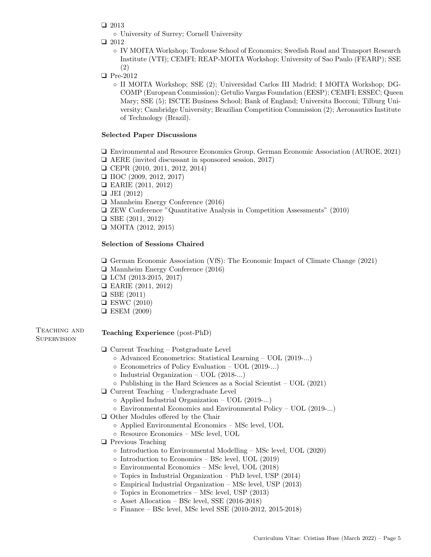- ❑ 2013
	- University of Surrey; Cornell University
- ❑ 2012
	- IV MOITA Workshop; Toulouse School of Economics; Swedish Road and Transport Research Institute (VTI); CEMFI; REAP-MOITA Workshop; University of Sao Paulo (FEARP); SSE (2)
- ❑ Pre-2012
	- II MOITA Workshop; SSE (2); Universidad Carlos III Madrid; I MOITA Workshop; DG-COMP (European Commission); Getulio Vargas Foundation (EESP); CEMFI; ESSEC; Queen Mary; SSE (5); ISCTE Business School; Bank of England; Universita Bocconi; Tilburg University; Cambridge University; Brazilian Competition Commission (2); Aeronautics Institute of Technology (Brazil).

## Selected Paper Discussions

- ❑ Environmental and Resource Economics Group, German Economic Association (AUROE, 2021)
- ❑ AERE (invited discussant in sponsored session, 2017)
- ❑ CEPR (2010, 2011, 2012, 2014)
- ❑ IIOC (2009, 2012, 2017)
- ❑ EARIE (2011, 2012)
- ❑ JEI (2012)
- ❑ Mannheim Energy Conference (2016)
- ❑ ZEW Conference "Quantitative Analysis in Competition Assessments" (2010)
- ❑ SBE (2011, 2012)
- ❑ MOITA (2012, 2015)

## Selection of Sessions Chaired

❑ German Economic Association (VfS): The Economic Impact of Climate Change (2021)

- ❑ Mannheim Energy Conference (2016)
- ❑ LCM (2013-2015, 2017)
- ❑ EARIE (2011, 2012)
- ❑ SBE (2011)
- ❑ ESWC (2010)
- ❑ ESEM (2009)

Teaching and **SUPERVISION** 

## Teaching Experience (post-PhD)

- ❑ Current Teaching Postgraduate Level
	- Advanced Econometrics: Statistical Learning UOL (2019-...)
	- Econometrics of Policy Evaluation UOL (2019-...)
	- Industrial Organization UOL (2018-...)
	- Publishing in the Hard Sciences as a Social Scientist UOL (2021)
- ❑ Current Teaching Undergraduate Level
	- Applied Industrial Organization UOL (2019-...)
	- Environmental Economics and Environmental Policy UOL (2019-...)
- ❑ Other Modules offered by the Chair
	- Applied Environmental Economics MSc level, UOL
	- Resource Economics MSc level, UOL
- ❑ Previous Teaching
	- Introduction to Environmental Modelling MSc level, UOL (2020)
	- Introduction to Economics BSc level, UOL (2019)
	- Environmental Economics MSc level, UOL (2018)
	- Topics in Industrial Organization PhD level, USP (2014)
	- Empirical Industrial Organization MSc level, USP (2013)
	- Topics in Econometrics MSc level, USP (2013)
	- Asset Allocation BSc level, SSE (2016-2018)
	- Finance BSc level, MSc level SSE (2010-2012, 2015-2018)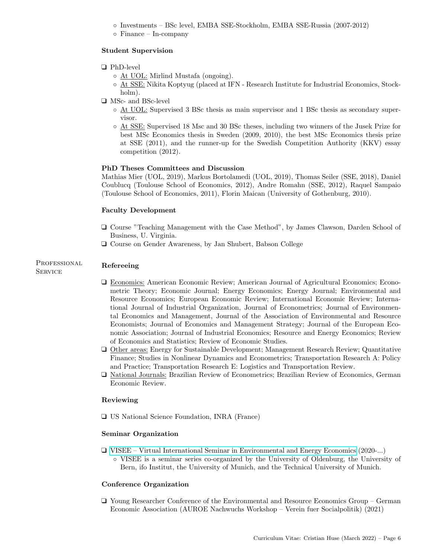- Investments BSc level, EMBA SSE-Stockholm, EMBA SSE-Russia (2007-2012)
- Finance In-company

## Student Supervision

## ❑ PhD-level

- At UOL: Mirlind Mustafa (ongoing).
- At SSE: Nikita Koptyug (placed at IFN Research Institute for Industrial Economics, Stockholm).
- ❑ MSc- and BSc-level
	- At UOL: Supervised 3 BSc thesis as main supervisor and 1 BSc thesis as secondary supervisor.
	- At SSE: Supervised 18 Msc and 30 BSc theses, including two winners of the Jusek Prize for best MSc Economics thesis in Sweden (2009, 2010), the best MSc Economics thesis prize at SSE (2011), and the runner-up for the Swedish Competition Authority (KKV) essay competition (2012).

#### PhD Theses Committees and Discussion

Mathias Mier (UOL, 2019), Markus Bortolamedi (UOL, 2019), Thomas Seiler (SSE, 2018), Daniel Coublucq (Toulouse School of Economics, 2012), Andre Romahn (SSE, 2012), Raquel Sampaio (Toulouse School of Economics, 2011), Florin Maican (University of Gothenburg, 2010).

#### Faculty Development

- ❑ Course "Teaching Management with the Case Method", by James Clawson, Darden School of Business, U. Virginia.
- ❑ Course on Gender Awareness, by Jan Shubert, Babson College

#### PROFESSIONAL **SERVICE** Refereeing

- 
- ❑ Economics: American Economic Review; American Journal of Agricultural Economics; Econometric Theory; Economic Journal; Energy Economics; Energy Journal; Environmental and Resource Economics; European Economic Review; International Economic Review; International Journal of Industrial Organization, Journal of Econometrics; Journal of Environmental Economics and Management, Journal of the Association of Environmental and Resource Economists; Journal of Economics and Management Strategy; Journal of the European Economic Association; Journal of Industrial Economics; Resource and Energy Economics; Review of Economics and Statistics; Review of Economic Studies.
- ❑ Other areas: Energy for Sustainable Development; Management Research Review; Quantitative Finance; Studies in Nonlinear Dynamics and Econometrics; Transportation Research A: Policy and Practice; Transportation Research E: Logistics and Transportation Review.
- ❑ National Journals: Brazilian Review of Econometrics; Brazilian Review of Economics, German Economic Review.

#### Reviewing

❑ US National Science Foundation, INRA (France)

#### Seminar Organization

❑ [VISEE – Virtual International Seminar in Environmental and Energy Economics](https://www.kpm.unibe.ch/research/virtual_international_seminar_in_environmental_and_energy_economics_visee/index_eng.html) (2020-...) ◦ VISEE is a seminar series co-organized by the University of Oldenburg, the University of Bern, ifo Institut, the University of Munich, and the Technical University of Munich.

## Conference Organization

❑ Young Researcher Conference of the Environmental and Resource Economics Group – German Economic Association (AUROE Nachwuchs Workshop – Verein fuer Socialpolitik) (2021)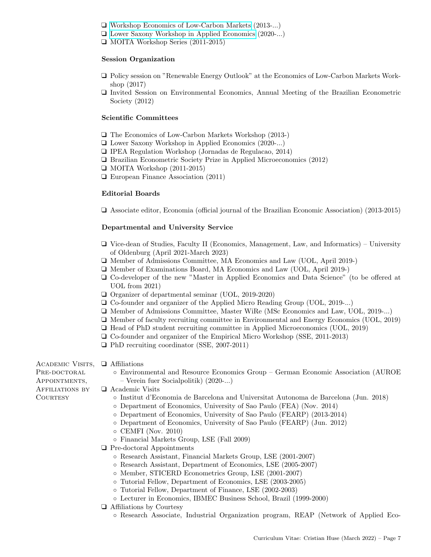- ❑ [Workshop Economics of Low-Carbon Markets](https://sites.google.com/usp.br/lcm2019/home) (2013-...)
- ❑ [Lower Saxony Workshop in Applied Economics](https://www.wipol.uni-hannover.de/de/news-veranstaltungen/veranstaltungen/niedersaechsischer-workshop-in-applied-economics-2020-in-hannover/) (2020-...)
- ❑ MOITA Workshop Series (2011-2015)

#### Session Organization

- ❑ Policy session on "Renewable Energy Outlook" at the Economics of Low-Carbon Markets Workshop (2017)
- ❑ Invited Session on Environmental Economics, Annual Meeting of the Brazilian Econometric Society (2012)

#### Scientific Committees

- ❑ The Economics of Low-Carbon Markets Workshop (2013-)
- ❑ Lower Saxony Workshop in Applied Economics (2020-...)
- ❑ IPEA Regulation Workshop (Jornadas de Regulacao, 2014)
- ❑ Brazilian Econometric Society Prize in Applied Microeconomics (2012)
- ❑ MOITA Workshop (2011-2015)
- ❑ European Finance Association (2011)

## Editorial Boards

❑ Associate editor, Economia (official journal of the Brazilian Economic Association) (2013-2015)

## Departmental and University Service

- ❑ Vice-dean of Studies, Faculty II (Economics, Management, Law, and Informatics) University of Oldenburg (April 2021-March 2023)
- ❑ Member of Admissions Committee, MA Economics and Law (UOL, April 2019-)
- ❑ Member of Examinations Board, MA Economics and Law (UOL, April 2019-)
- ❑ Co-developer of the new "Master in Applied Economics and Data Science" (to be offered at UOL from 2021)
- ❑ Organizer of departmental seminar (UOL, 2019-2020)
- ❑ Co-founder and organizer of the Applied Micro Reading Group (UOL, 2019-...)
- ❑ Member of Admissions Committee, Master WiRe (MSc Economics and Law, UOL, 2019-...)
- ❑ Member of faculty recruiting committee in Environmental and Energy Economics (UOL, 2019)
- ❑ Head of PhD student recruiting committee in Applied Microeconomics (UOL, 2019)
- ❑ Co-founder and organizer of the Empirical Micro Workshop (SSE, 2011-2013)
- ❑ PhD recruiting coordinator (SSE, 2007-2011)
- Academic Visits, PRE-DOCTORAL Appointments, Affiliations by **COURTESY** 
	- ❑ Affiliations
		- Environmental and Resource Economics Group German Economic Association (AUROE – Verein fuer Socialpolitik) (2020-...)
	- ❑ Academic Visits
		- Institut d'Economia de Barcelona and Universitat Autonoma de Barcelona (Jun. 2018)
		- Department of Economics, University of Sao Paulo (FEA) (Nov. 2014)
		- Department of Economics, University of Sao Paulo (FEARP) (2013-2014)
		- Department of Economics, University of Sao Paulo (FEARP) (Jun. 2012)
		- CEMFI (Nov. 2010)
		- Financial Markets Group, LSE (Fall 2009)
		- ❑ Pre-doctoral Appointments
			- Research Assistant, Financial Markets Group, LSE (2001-2007)
			- Research Assistant, Department of Economics, LSE (2005-2007)
			- Member, STICERD Econometrics Group, LSE (2001-2007)
			- Tutorial Fellow, Department of Economics, LSE (2003-2005)
			- Tutorial Fellow, Department of Finance, LSE (2002-2003)
			- Lecturer in Economics, IBMEC Business School, Brazil (1999-2000)
		- ❑ Affiliations by Courtesy
			- Research Associate, Industrial Organization program, REAP (Network of Applied Eco-